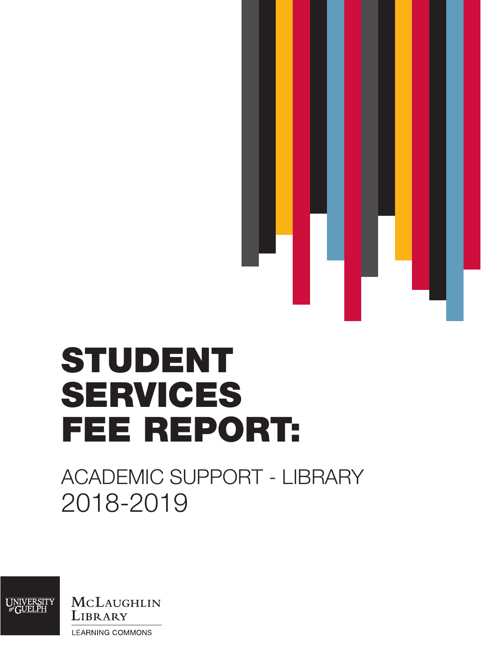

# STUDENT SERVICES FEE REPORT:

# ACADEMIC SUPPORT - LIBRARY 2018-2019

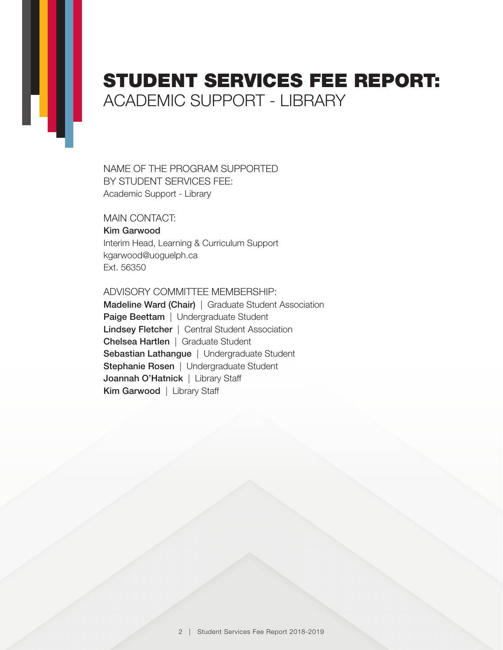## STUDENT SERVICES FEE REPORT: ACADEMIC SUPPORT - LIBRARY

NAME OF THE PROGRAM SUPPORTED BY STUDENT SERVICES FEE: Academic Support - Library

MAIN CONTACT: Kim Garwood Interim Head, Learning & Curriculum Support [kgarwood@uoguelph.ca](mailto:kgarwood%40uoguelph.ca?subject=) Ext. 56350

ADVISORY COMMITTEE MEMBERSHIP:

Madeline Ward (Chair) | Graduate Student Association Paige Beettam | Undergraduate Student Lindsey Fletcher | Central Student Association Chelsea Hartlen | Graduate Student Sebastian Lathangue | Undergraduate Student Stephanie Rosen | Undergraduate Student Joannah O'Hatnick | Library Staff Kim Garwood | Library Staff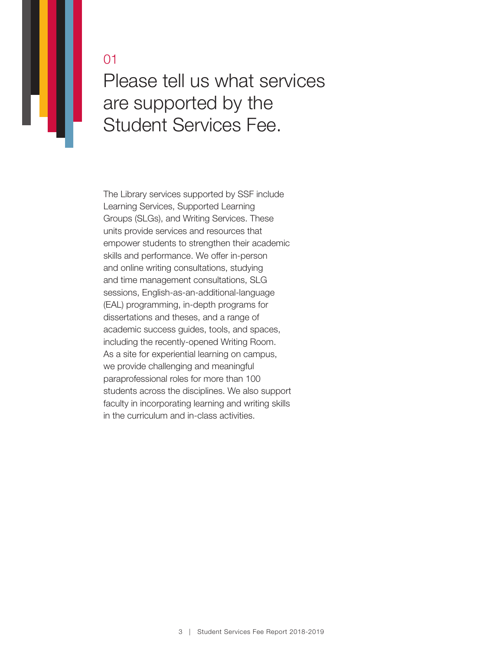Please tell us what services are supported by the Student Services Fee.

The Library services supported by SSF include Learning Services, Supported Learning Groups (SLGs), and Writing Services. These units provide services and resources that empower students to strengthen their academic skills and performance. We offer in-person and online writing consultations, studying and time management consultations, SLG sessions, English-as-an-additional-language (EAL) programming, in-depth programs for dissertations and theses, and a range of academic success guides, tools, and spaces, including the recently-opened Writing Room. As a site for experiential learning on campus, we provide challenging and meaningful paraprofessional roles for more than 100 students across the disciplines. We also support faculty in incorporating learning and writing skills in the curriculum and in-class activities.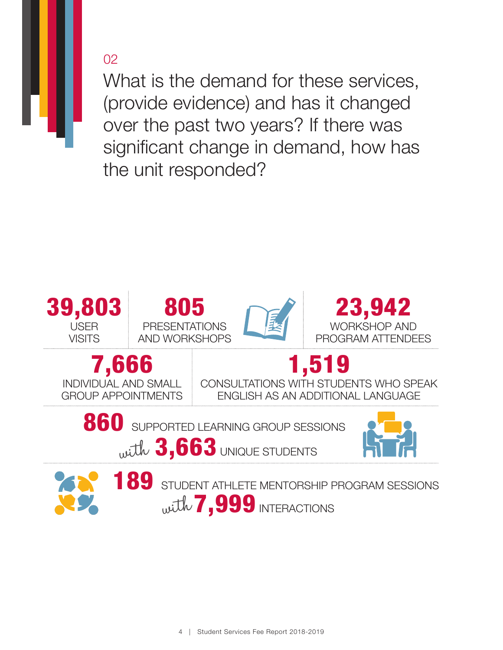What is the demand for these services, (provide evidence) and has it changed over the past two years? If there was significant change in demand, how has the unit responded?

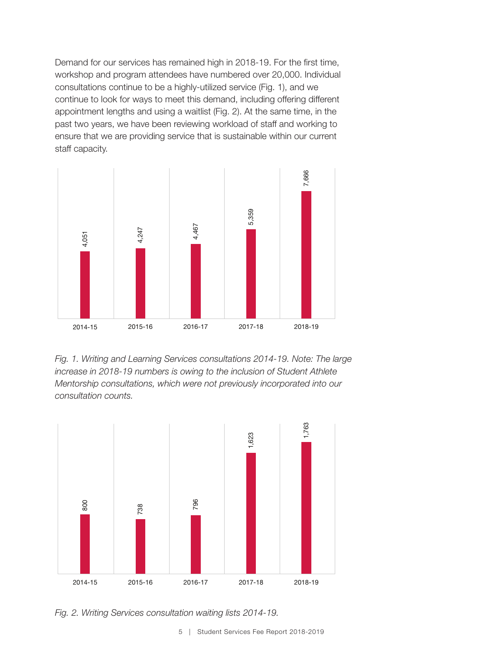Demand for our services has remained high in 2018-19. For the first time, workshop and program attendees have numbered over 20,000. Individual consultations continue to be a highly-utilized service (Fig. 1), and we continue to look for ways to meet this demand, including offering different appointment lengths and using a waitlist (Fig. 2). At the same time, in the past two years, we have been reviewing workload of staff and working to ensure that we are providing service that is sustainable within our current staff capacity.



*Fig. 1. Writing and Learning Services consultations 2014-19. Note: The large increase in 2018-19 numbers is owing to the inclusion of Student Athlete Mentorship consultations, which were not previously incorporated into our consultation counts.*



*Fig. 2. Writing Services consultation waiting lists 2014-19.*

5 | Student Services Fee Report 2018-2019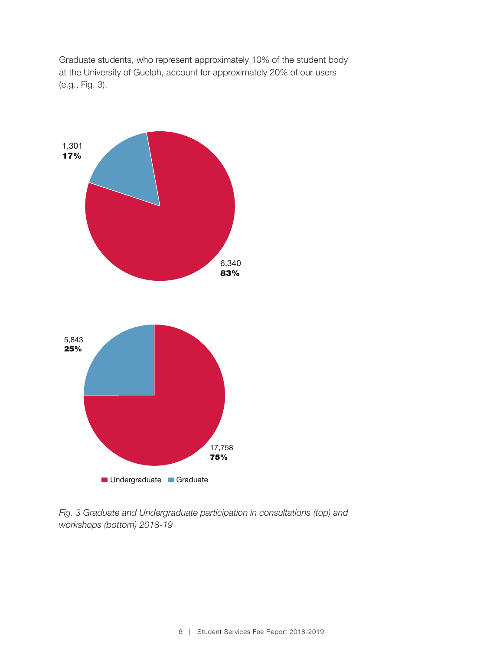Graduate students, who represent approximately 10% of the student body at the University of Guelph, account for approximately 20% of our users (e.g., Fig. 3).



*Fig. 3 Graduate and Undergraduate participation in consultations (top) and workshops (bottom) 2018-19*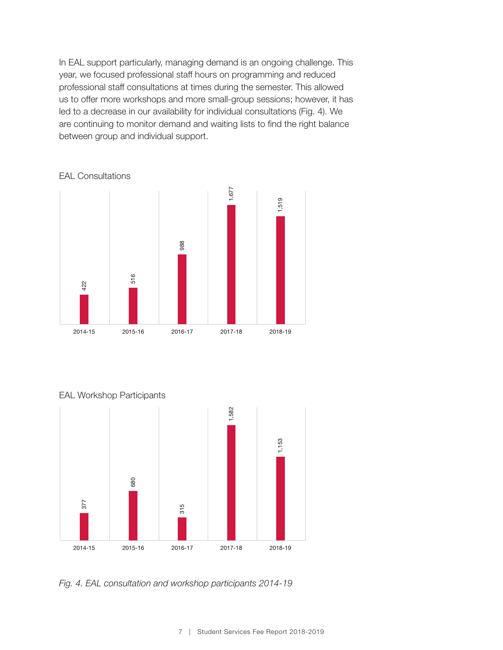In EAL support particularly, managing demand is an ongoing challenge. This year, we focused professional staff hours on programming and reduced professional staff consultations at times during the semester. This allowed us to offer more workshops and more small-group sessions; however, it has led to a decrease in our availability for individual consultations (Fig. 4). We are continuing to monitor demand and waiting lists to find the right balance between group and individual support.





#### EAL Workshop Participants



*Fig. 4. EAL consultation and workshop participants 2014-19*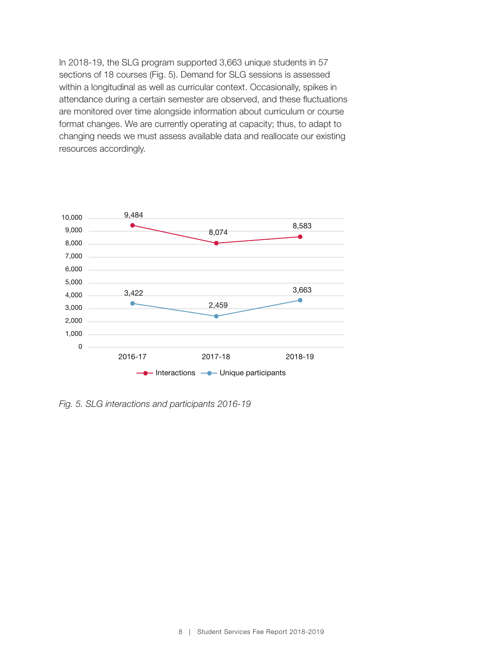In 2018-19, the SLG program supported 3,663 unique students in 57 sections of 18 courses (Fig. 5). Demand for SLG sessions is assessed within a longitudinal as well as curricular context. Occasionally, spikes in attendance during a certain semester are observed, and these fluctuations are monitored over time alongside information about curriculum or course format changes. We are currently operating at capacity; thus, to adapt to changing needs we must assess available data and reallocate our existing resources accordingly.



*Fig. 5. SLG interactions and participants 2016-19*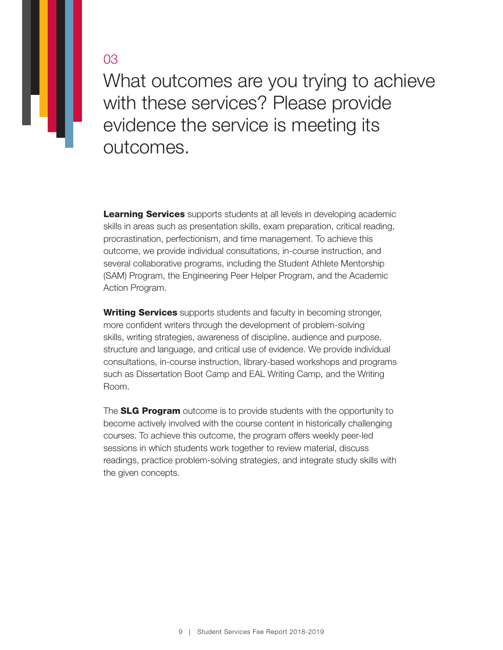What outcomes are you trying to achieve with these services? Please provide evidence the service is meeting its outcomes.

**Learning Services** supports students at all levels in developing academic skills in areas such as presentation skills, exam preparation, critical reading, procrastination, perfectionism, and time management. To achieve this outcome, we provide individual consultations, in-course instruction, and several collaborative programs, including the Student Athlete Mentorship (SAM) Program, the Engineering Peer Helper Program, and the Academic Action Program.

Writing Services supports students and faculty in becoming stronger, more confident writers through the development of problem-solving skills, writing strategies, awareness of discipline, audience and purpose, structure and language, and critical use of evidence. We provide individual consultations, in-course instruction, library-based workshops and programs such as Dissertation Boot Camp and EAL Writing Camp, and the Writing Room.

The **SLG Program** outcome is to provide students with the opportunity to become actively involved with the course content in historically challenging courses. To achieve this outcome, the program offers weekly peer-led sessions in which students work together to review material, discuss readings, practice problem-solving strategies, and integrate study skills with the given concepts.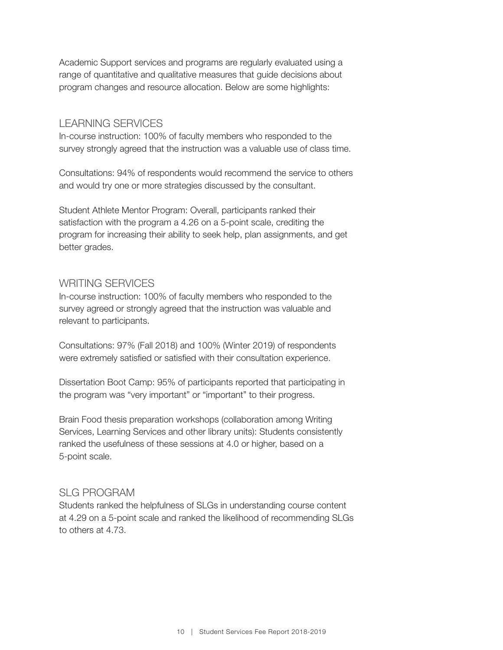Academic Support services and programs are regularly evaluated using a range of quantitative and qualitative measures that guide decisions about program changes and resource allocation. Below are some highlights:

#### LEARNING SERVICES

In-course instruction: 100% of faculty members who responded to the survey strongly agreed that the instruction was a valuable use of class time.

Consultations: 94% of respondents would recommend the service to others and would try one or more strategies discussed by the consultant.

Student Athlete Mentor Program: Overall, participants ranked their satisfaction with the program a 4.26 on a 5-point scale, crediting the program for increasing their ability to seek help, plan assignments, and get better grades.

#### WRITING SERVICES

In-course instruction: 100% of faculty members who responded to the survey agreed or strongly agreed that the instruction was valuable and relevant to participants.

Consultations: 97% (Fall 2018) and 100% (Winter 2019) of respondents were extremely satisfied or satisfied with their consultation experience.

Dissertation Boot Camp: 95% of participants reported that participating in the program was "very important" or "important" to their progress.

Brain Food thesis preparation workshops (collaboration among Writing Services, Learning Services and other library units): Students consistently ranked the usefulness of these sessions at 4.0 or higher, based on a 5-point scale.

#### SLG PROGRAM

Students ranked the helpfulness of SLGs in understanding course content at 4.29 on a 5-point scale and ranked the likelihood of recommending SLGs to others at 4.73.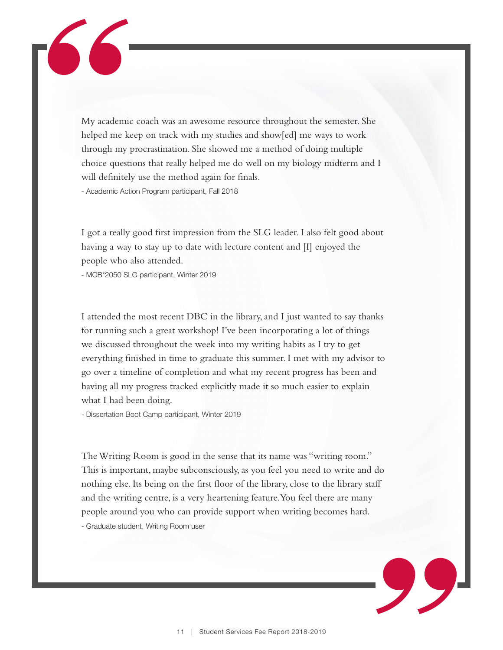My academic coach was an awesome resource throughout the semester. She helped me keep on track with my studies and show[ed] me ways to work through my procrastination. She showed me a method of doing multiple choice questions that really helped me do well on my biology midterm and I will definitely use the method again for finals.

- Academic Action Program participant, Fall 2018

I got a really good first impression from the SLG leader. I also felt good about having a way to stay up to date with lecture content and [I] enjoyed the people who also attended.

- MCB\*2050 SLG participant, Winter 2019

I attended the most recent DBC in the library, and I just wanted to say thanks for running such a great workshop! I've been incorporating a lot of things we discussed throughout the week into my writing habits as I try to get everything finished in time to graduate this summer. I met with my advisor to go over a timeline of completion and what my recent progress has been and having all my progress tracked explicitly made it so much easier to explain what I had been doing.

- Dissertation Boot Camp participant, Winter 2019

The Writing Room is good in the sense that its name was "writing room." This is important, maybe subconsciously, as you feel you need to write and do nothing else. Its being on the first floor of the library, close to the library staff and the writing centre, is a very heartening feature. You feel there are many people around you who can provide support when writing becomes hard. - Graduate student, Writing Room user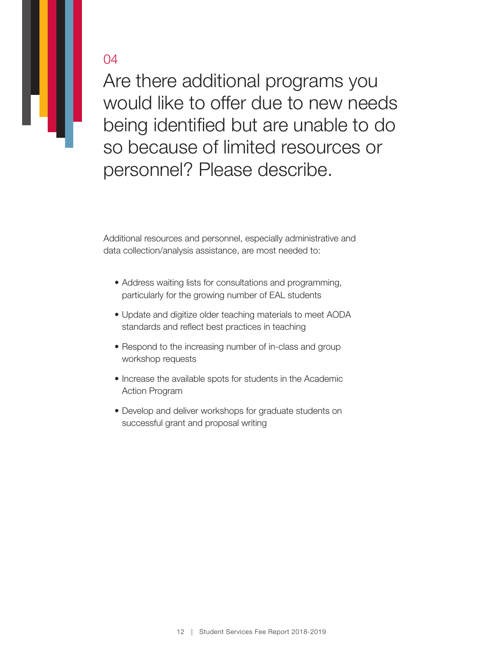Are there additional programs you would like to offer due to new needs being identified but are unable to do so because of limited resources or personnel? Please describe.

Additional resources and personnel, especially administrative and data collection/analysis assistance, are most needed to:

- Address waiting lists for consultations and programming, particularly for the growing number of EAL students
- Update and digitize older teaching materials to meet AODA standards and reflect best practices in teaching
- Respond to the increasing number of in-class and group workshop requests
- Increase the available spots for students in the Academic Action Program
- Develop and deliver workshops for graduate students on successful grant and proposal writing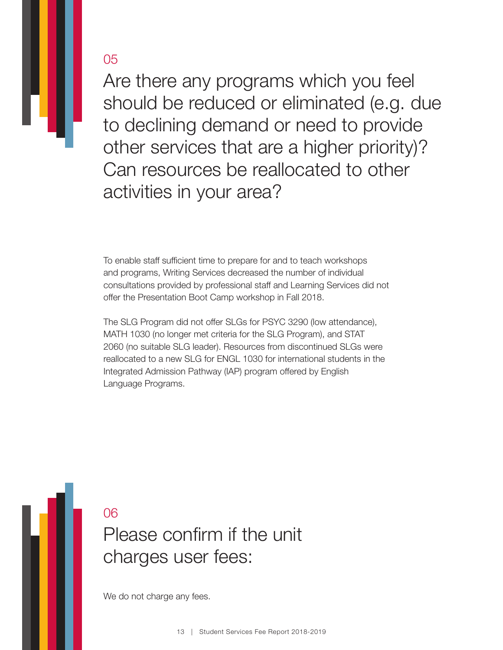Are there any programs which you feel should be reduced or eliminated (e.g. due to declining demand or need to provide other services that are a higher priority)? Can resources be reallocated to other activities in your area?

To enable staff sufficient time to prepare for and to teach workshops and programs, Writing Services decreased the number of individual consultations provided by professional staff and Learning Services did not offer the Presentation Boot Camp workshop in Fall 2018.

The SLG Program did not offer SLGs for PSYC 3290 (low attendance), MATH 1030 (no longer met criteria for the SLG Program), and STAT 2060 (no suitable SLG leader). Resources from discontinued SLGs were reallocated to a new SLG for ENGL 1030 for international students in the Integrated Admission Pathway (IAP) program offered by English Language Programs.

Please confirm if the unit charges user fees: 06

We do not charge any fees.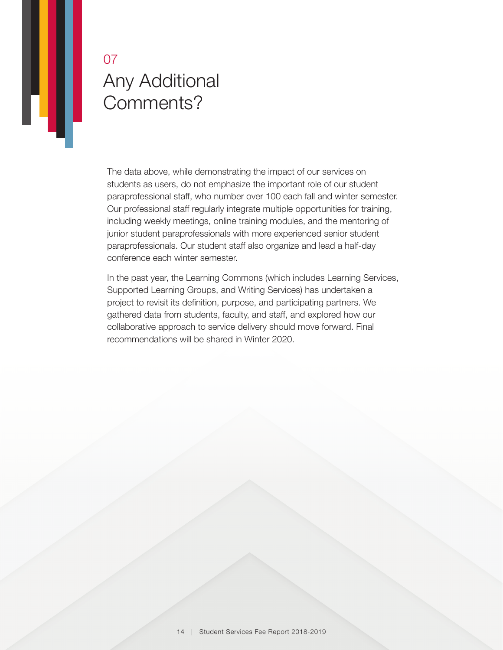## Any Additional Comments? 07

IJ

The data above, while demonstrating the impact of our services on students as users, do not emphasize the important role of our student paraprofessional staff, who number over 100 each fall and winter semester. Our professional staff regularly integrate multiple opportunities for training, including weekly meetings, online training modules, and the mentoring of junior student paraprofessionals with more experienced senior student paraprofessionals. Our student staff also organize and lead a half-day conference each winter semester.

In the past year, the Learning Commons (which includes Learning Services, Supported Learning Groups, and Writing Services) has undertaken a project to revisit its definition, purpose, and participating partners. We gathered data from students, faculty, and staff, and explored how our collaborative approach to service delivery should move forward. Final recommendations will be shared in Winter 2020.